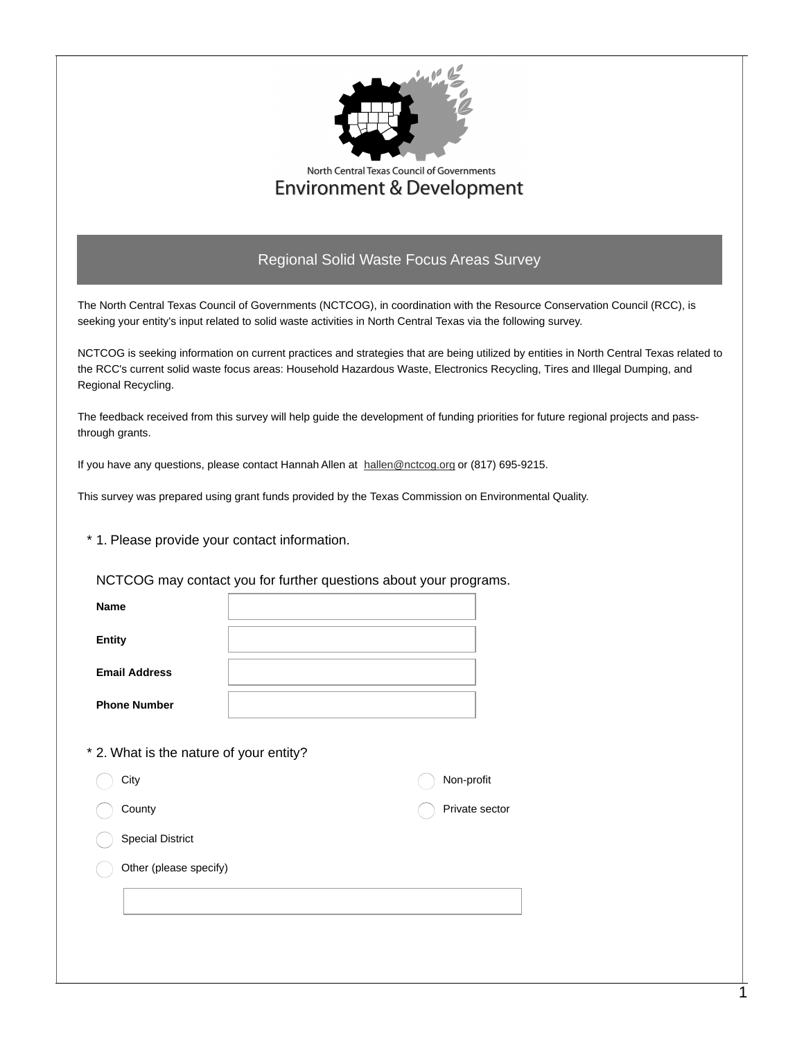

## North Central Texas Council of Governments **Environment & Development**

## Regional Solid Waste Focus Areas Survey

The North Central Texas Council of Governments (NCTCOG), in coordination with the Resource Conservation Council (RCC), is seeking your entity's input related to solid waste activities in North Central Texas via the following survey.

NCTCOG is seeking information on current practices and strategies that are being utilized by entities in North Central Texas related to the RCC's current solid waste focus areas: Household Hazardous Waste, Electronics Recycling, Tires and Illegal Dumping, and Regional Recycling.

The feedback received from this survey will help guide the development of funding priorities for future regional projects and passthrough grants.

If you have any questions, please contact Hannah Allen at [hallen@nctcog.org](mailto:hallen@nctcog.org) or (817) 695-9215.

This survey was prepared using grant funds provided by the Texas Commission on Environmental Quality.

\* 1. Please provide your contact information.

NCTCOG may contact you for further questions about your programs.

| <b>Name</b>          |  |
|----------------------|--|
| <b>Entity</b>        |  |
| <b>Email Address</b> |  |
| <b>Phone Number</b>  |  |

\* 2. What is the nature of your entity?

| City                    | Non-profit     |
|-------------------------|----------------|
| County                  | Private sector |
| <b>Special District</b> |                |
| Other (please specify)  |                |
|                         |                |
|                         |                |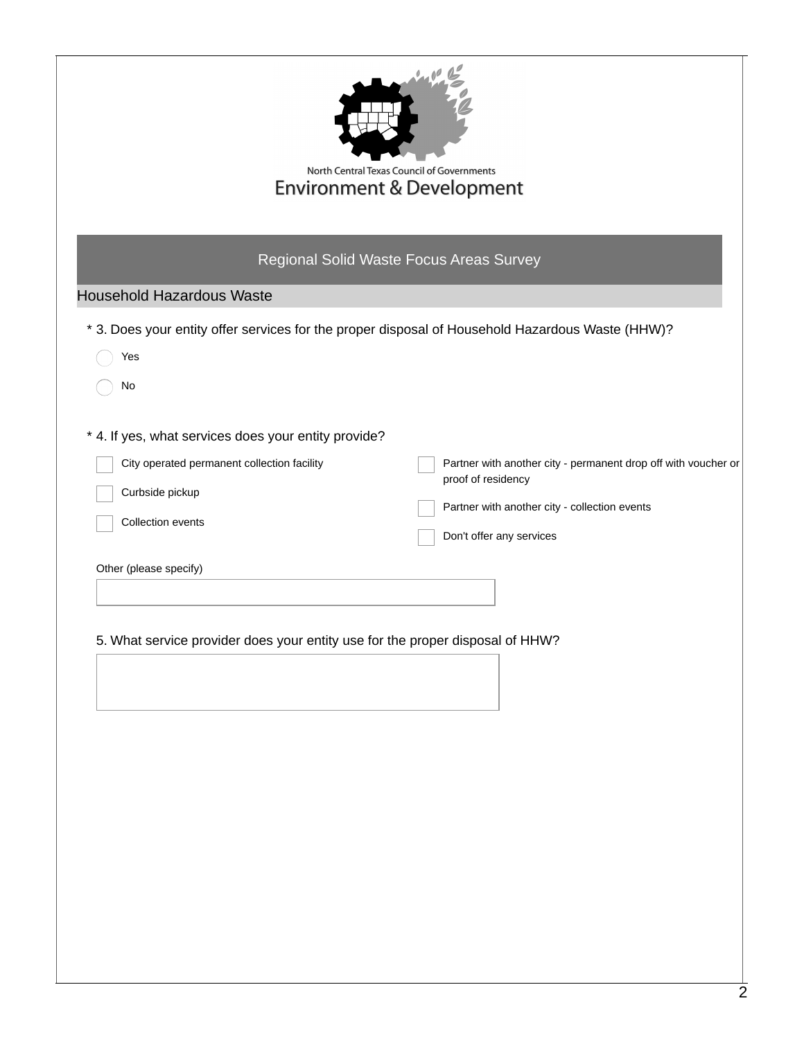| <b>Environment &amp; Development</b>                                                                                                                                                                                                                   | North Central Texas Council of Governments                                                                                                                        |
|--------------------------------------------------------------------------------------------------------------------------------------------------------------------------------------------------------------------------------------------------------|-------------------------------------------------------------------------------------------------------------------------------------------------------------------|
| Regional Solid Waste Focus Areas Survey                                                                                                                                                                                                                |                                                                                                                                                                   |
| <b>Household Hazardous Waste</b>                                                                                                                                                                                                                       |                                                                                                                                                                   |
| * 3. Does your entity offer services for the proper disposal of Household Hazardous Waste (HHW)?                                                                                                                                                       |                                                                                                                                                                   |
| Yes                                                                                                                                                                                                                                                    |                                                                                                                                                                   |
| No                                                                                                                                                                                                                                                     |                                                                                                                                                                   |
| * 4. If yes, what services does your entity provide?<br>City operated permanent collection facility<br>Curbside pickup<br>Collection events<br>Other (please specify)<br>5. What service provider does your entity use for the proper disposal of HHW? | Partner with another city - permanent drop off with voucher or<br>proof of residency<br>Partner with another city - collection events<br>Don't offer any services |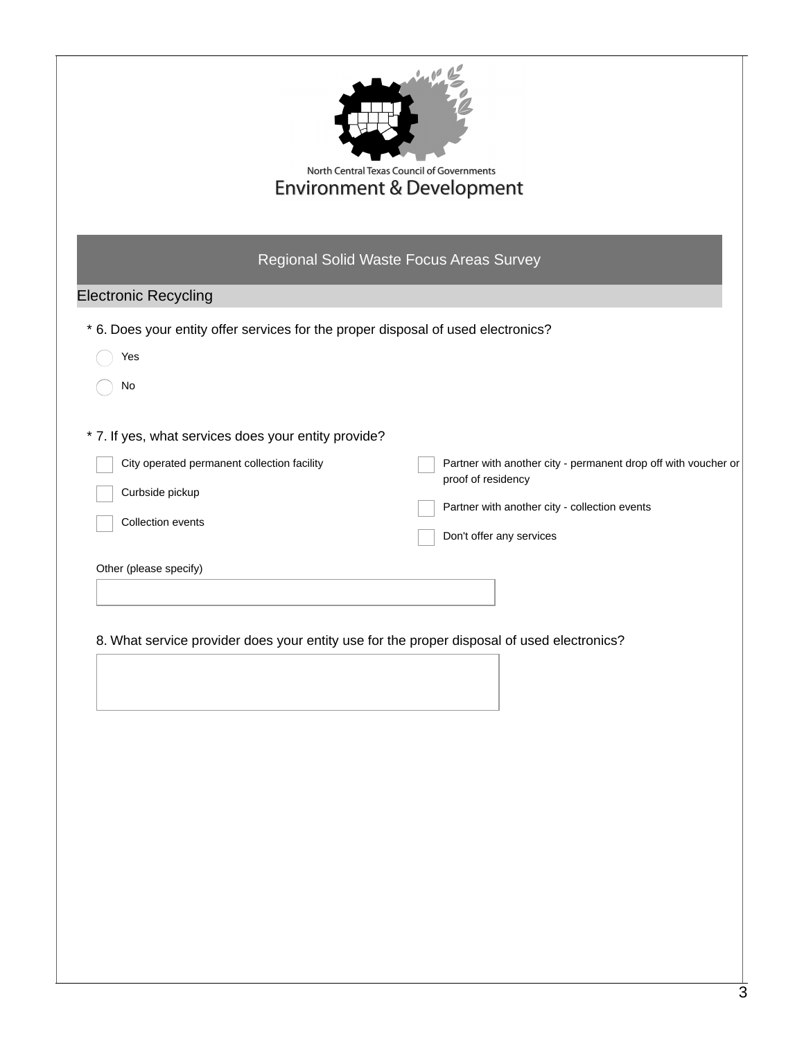|                                                                                                                                                                       | <b>Environment &amp; Development</b><br>Regional Solid Waste Focus Areas Survey                                                                                                                                                                                 |
|-----------------------------------------------------------------------------------------------------------------------------------------------------------------------|-----------------------------------------------------------------------------------------------------------------------------------------------------------------------------------------------------------------------------------------------------------------|
| <b>Electronic Recycling</b>                                                                                                                                           |                                                                                                                                                                                                                                                                 |
| * 6. Does your entity offer services for the proper disposal of used electronics?<br>Yes<br>No                                                                        |                                                                                                                                                                                                                                                                 |
| * 7. If yes, what services does your entity provide?<br>City operated permanent collection facility<br>Curbside pickup<br>Collection events<br>Other (please specify) | Partner with another city - permanent drop off with voucher or<br>proof of residency<br>Partner with another city - collection events<br>Don't offer any services<br>8. What service provider does your entity use for the proper disposal of used electronics? |
|                                                                                                                                                                       |                                                                                                                                                                                                                                                                 |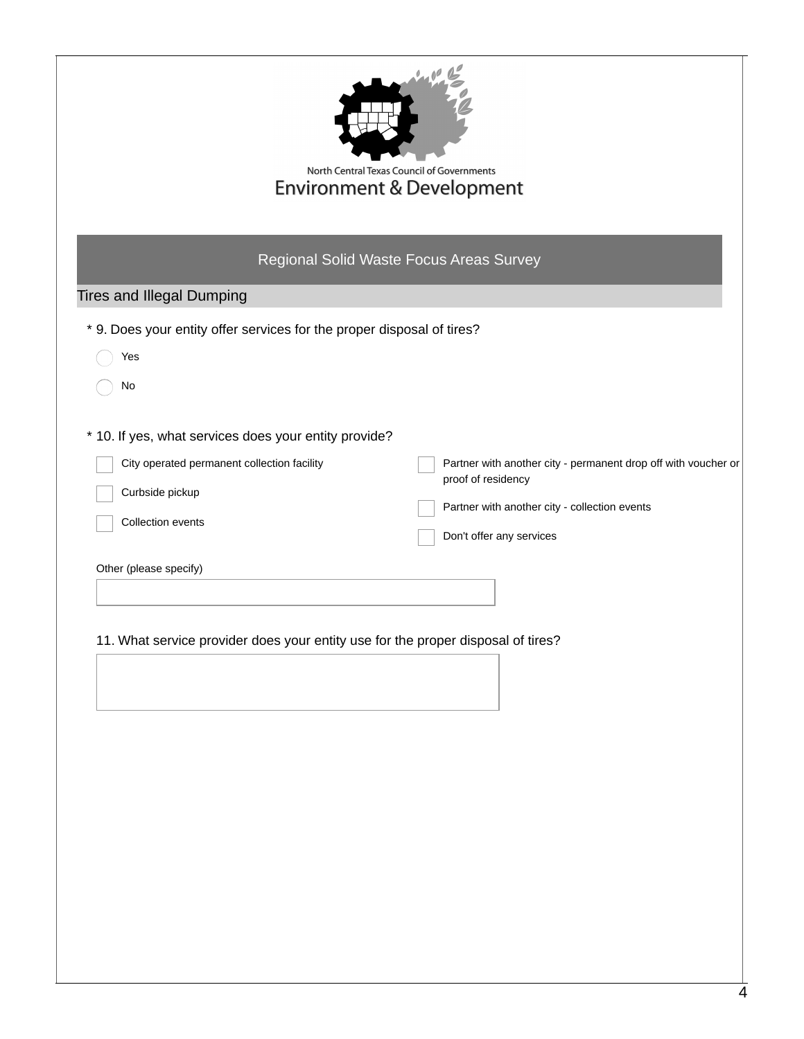|                                                                                                                                 | North Central Texas Council of Governments<br><b>Environment &amp; Development</b><br>Regional Solid Waste Focus Areas Survey |
|---------------------------------------------------------------------------------------------------------------------------------|-------------------------------------------------------------------------------------------------------------------------------|
| <b>Tires and Illegal Dumping</b>                                                                                                |                                                                                                                               |
| * 9. Does your entity offer services for the proper disposal of tires?                                                          |                                                                                                                               |
| Yes                                                                                                                             |                                                                                                                               |
| No                                                                                                                              |                                                                                                                               |
| Collection events<br>Other (please specify)<br>11. What service provider does your entity use for the proper disposal of tires? | Don't offer any services                                                                                                      |
|                                                                                                                                 |                                                                                                                               |
|                                                                                                                                 |                                                                                                                               |
|                                                                                                                                 |                                                                                                                               |
|                                                                                                                                 |                                                                                                                               |
|                                                                                                                                 |                                                                                                                               |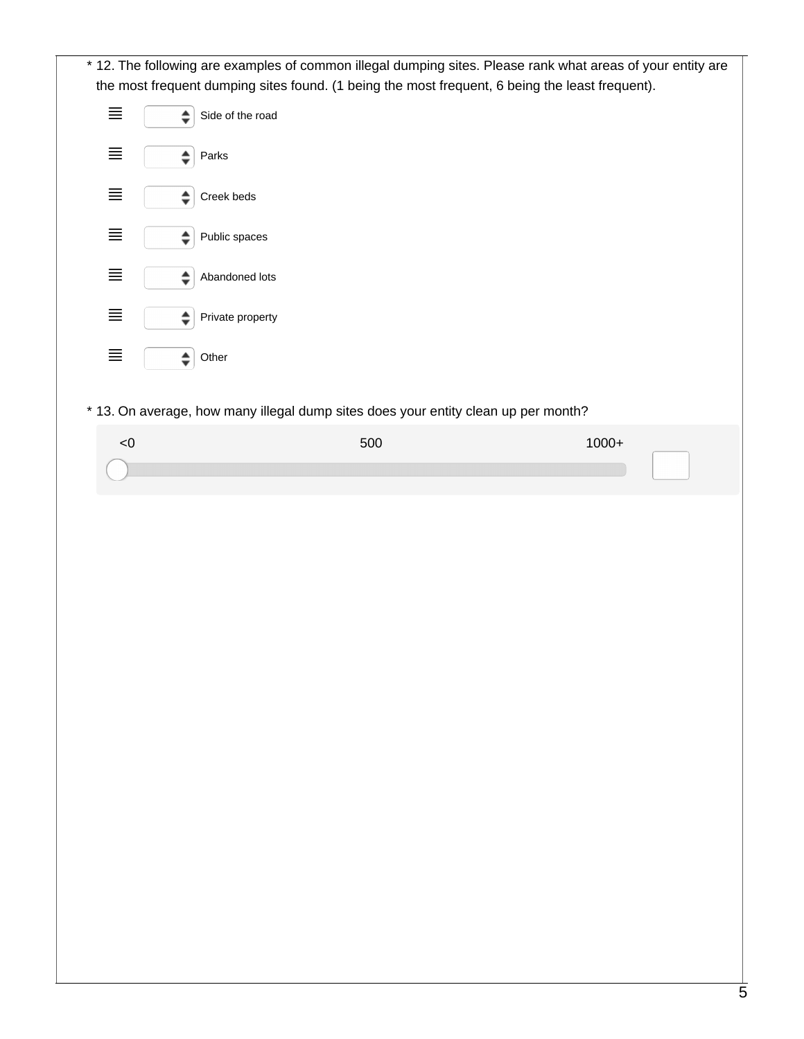|          | * 12. The following are examples of common illegal dumping sites. Please rank what areas of your entity are |         |
|----------|-------------------------------------------------------------------------------------------------------------|---------|
|          | the most frequent dumping sites found. (1 being the most frequent, 6 being the least frequent).             |         |
| $\equiv$ | Side of the road<br>$\div$                                                                                  |         |
| $\equiv$ | $\div$<br>Parks                                                                                             |         |
| $\equiv$ | ♦<br>Creek beds                                                                                             |         |
| $\equiv$ | Public spaces<br>♦                                                                                          |         |
| $\equiv$ | Abandoned lots<br>♦                                                                                         |         |
| $\equiv$ | Private property<br>÷                                                                                       |         |
| $\equiv$ | $\div$<br>Other                                                                                             |         |
|          | * 13. On average, how many illegal dump sites does your entity clean up per month?                          |         |
| < 0      | 500                                                                                                         | $1000+$ |
|          |                                                                                                             |         |
|          |                                                                                                             |         |
|          |                                                                                                             |         |
|          |                                                                                                             |         |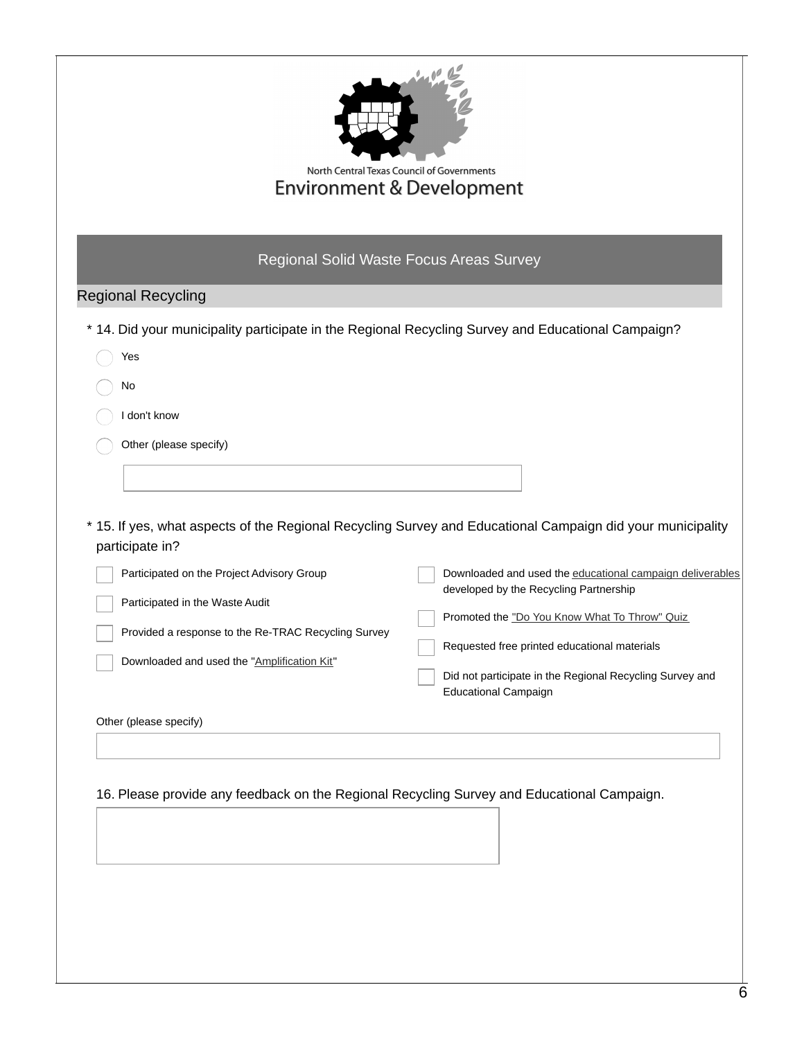|                                                                                                                                                                                     | North Central Texas Council of Governments<br><b>Environment &amp; Development</b>                                                                                                                                                                                                                                                                                                                            |
|-------------------------------------------------------------------------------------------------------------------------------------------------------------------------------------|---------------------------------------------------------------------------------------------------------------------------------------------------------------------------------------------------------------------------------------------------------------------------------------------------------------------------------------------------------------------------------------------------------------|
|                                                                                                                                                                                     | Regional Solid Waste Focus Areas Survey                                                                                                                                                                                                                                                                                                                                                                       |
| <b>Regional Recycling</b>                                                                                                                                                           |                                                                                                                                                                                                                                                                                                                                                                                                               |
|                                                                                                                                                                                     | * 14. Did your municipality participate in the Regional Recycling Survey and Educational Campaign?                                                                                                                                                                                                                                                                                                            |
| Yes                                                                                                                                                                                 |                                                                                                                                                                                                                                                                                                                                                                                                               |
| No                                                                                                                                                                                  |                                                                                                                                                                                                                                                                                                                                                                                                               |
| I don't know                                                                                                                                                                        |                                                                                                                                                                                                                                                                                                                                                                                                               |
| Other (please specify)                                                                                                                                                              |                                                                                                                                                                                                                                                                                                                                                                                                               |
|                                                                                                                                                                                     |                                                                                                                                                                                                                                                                                                                                                                                                               |
| participate in?                                                                                                                                                                     |                                                                                                                                                                                                                                                                                                                                                                                                               |
| Participated on the Project Advisory Group<br>Participated in the Waste Audit<br>Provided a response to the Re-TRAC Recycling Survey<br>Downloaded and used the "Amplification Kit" | * 15. If yes, what aspects of the Regional Recycling Survey and Educational Campaign did your municipality<br>Downloaded and used the educational campaign deliverables<br>developed by the Recycling Partnership<br>Promoted the "Do You Know What To Throw" Quiz<br>Requested free printed educational materials<br>Did not participate in the Regional Recycling Survey and<br><b>Educational Campaign</b> |
| Other (please specify)                                                                                                                                                              |                                                                                                                                                                                                                                                                                                                                                                                                               |
|                                                                                                                                                                                     |                                                                                                                                                                                                                                                                                                                                                                                                               |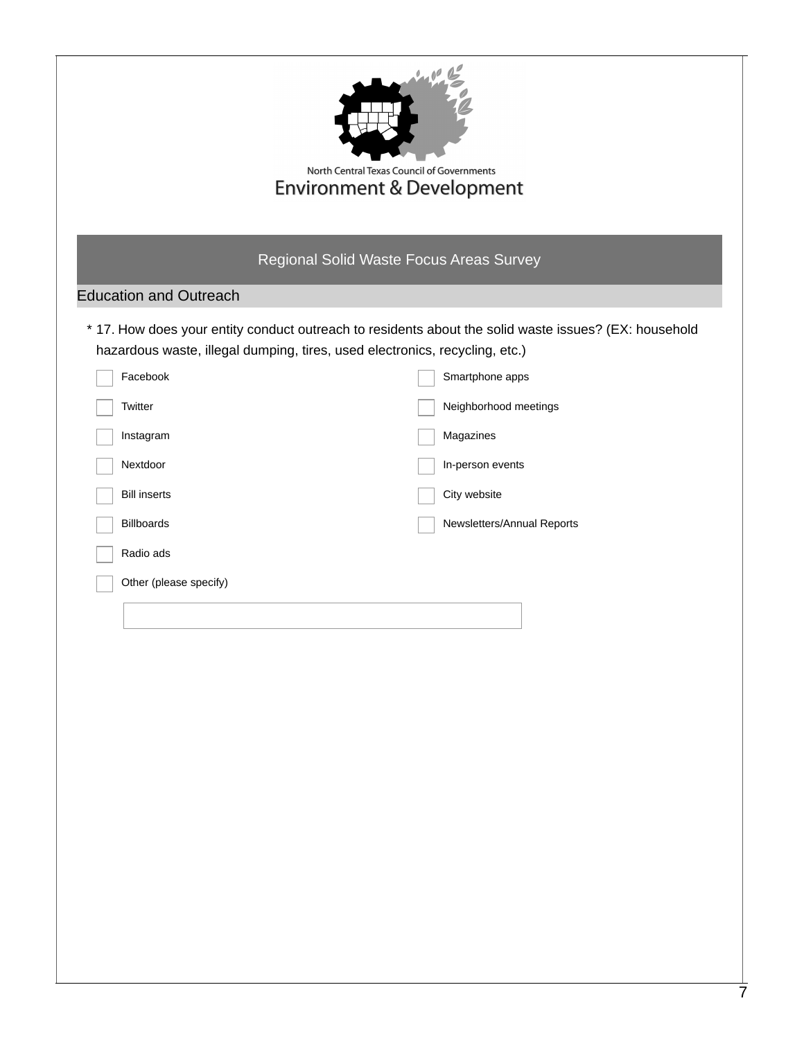|                                                                             | North Central Texas Council of Governments<br><b>Environment &amp; Development</b>                    |
|-----------------------------------------------------------------------------|-------------------------------------------------------------------------------------------------------|
|                                                                             | Regional Solid Waste Focus Areas Survey                                                               |
| <b>Education and Outreach</b>                                               |                                                                                                       |
| hazardous waste, illegal dumping, tires, used electronics, recycling, etc.) | * 17. How does your entity conduct outreach to residents about the solid waste issues? (EX: household |
| Facebook                                                                    | Smartphone apps                                                                                       |
| Twitter                                                                     | Neighborhood meetings                                                                                 |
| Instagram                                                                   | Magazines                                                                                             |
| Nextdoor                                                                    | In-person events                                                                                      |
| <b>Bill inserts</b>                                                         | City website                                                                                          |
| <b>Billboards</b>                                                           | Newsletters/Annual Reports                                                                            |
| Radio ads                                                                   |                                                                                                       |
| Other (please specify)                                                      |                                                                                                       |
|                                                                             |                                                                                                       |
|                                                                             |                                                                                                       |
|                                                                             |                                                                                                       |
|                                                                             |                                                                                                       |
|                                                                             |                                                                                                       |
|                                                                             |                                                                                                       |
|                                                                             |                                                                                                       |
|                                                                             |                                                                                                       |
|                                                                             |                                                                                                       |
|                                                                             |                                                                                                       |
|                                                                             |                                                                                                       |
|                                                                             |                                                                                                       |
|                                                                             |                                                                                                       |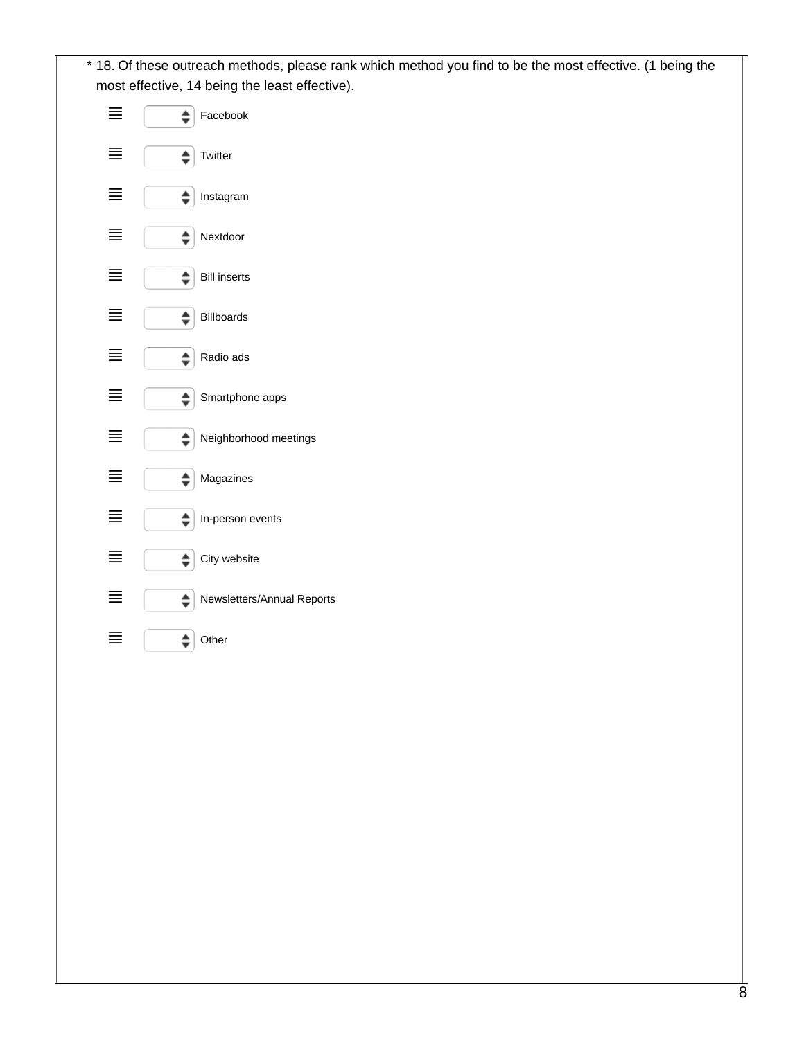18. Of these outreach methods, please rank which method you find to be the most effective. (1 being the \* most effective, 14 being the least effective).

|     | Facebook                   |
|-----|----------------------------|
| $=$ | Twitter<br>÷               |
| ≡   | Instagram                  |
| ≡   | ≐<br>Nextdoor              |
| ≡   | <b>Bill inserts</b>        |
| $=$ | <b>Billboards</b>          |
| =   | Radio ads                  |
|     | Smartphone apps            |
| ≡   | Neighborhood meetings<br>≜ |
| ≡   | Magazines<br>≜             |
| =   | ♦<br>In-person events      |
| =   | City website               |
| =   | Newsletters/Annual Reports |
|     | Other<br>≜                 |